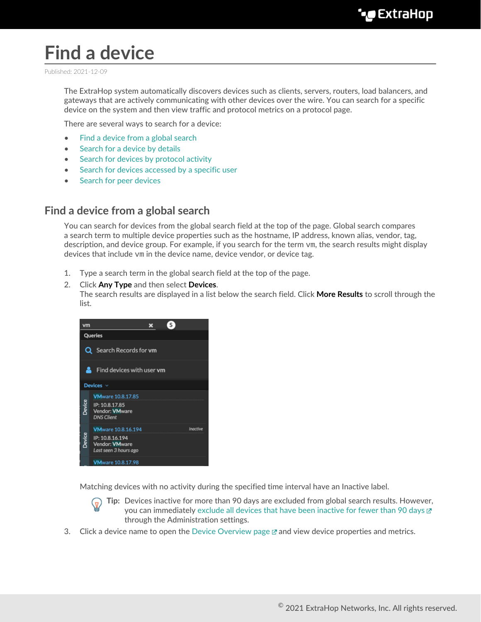# **Find a device**

Published: 2021-12-09

The ExtraHop system automatically discovers devices such as clients, servers, routers, load balancers, and gateways that are actively communicating with other devices over the wire. You can search for a specific device on the system and then view traffic and protocol metrics on a protocol page.

There are several ways to search for a device:

- [Find a device from a global search](#page-0-0)
- [Search for a device by details](#page-1-0)
- [Search for devices by protocol activity](#page-3-0)
- [Search for devices accessed by a specific user](#page-5-0)
- [Search for peer devices](#page-7-0)

### <span id="page-0-0"></span>**Find a device from a global search**

You can search for devices from the global search field at the top of the page. Global search compares a search term to multiple device properties such as the hostname, IP address, known alias, vendor, tag, description, and device group. For example, if you search for the term  $\rm{vm}$ , the search results might display devices that include vm in the device name, device vendor, or device tag.

- 1. Type a search term in the global search field at the top of the page.
- 2. Click **Any Type** and then select **Devices**.

The search results are displayed in a list below the search field. Click **More Results** to scroll through the list.



Matching devices with no activity during the specified time interval have an Inactive label.



**Tip:** Devices inactive for more than 90 days are excluded from global search results. However, you can immediately [exclude all devices that have been inactive for fewer than 90 days](https://docs.extrahop.com/8.7/eh-admin-ui-guide/#inactive-sources)  $\mathbb{Z}$ through the Administration settings.

3. Click a device name to open the [Device Overview page](https://docs.extrahop.com/8.7/devices-overview/#device-overview-page)  $\mathbb Z$  and view device properties and metrics.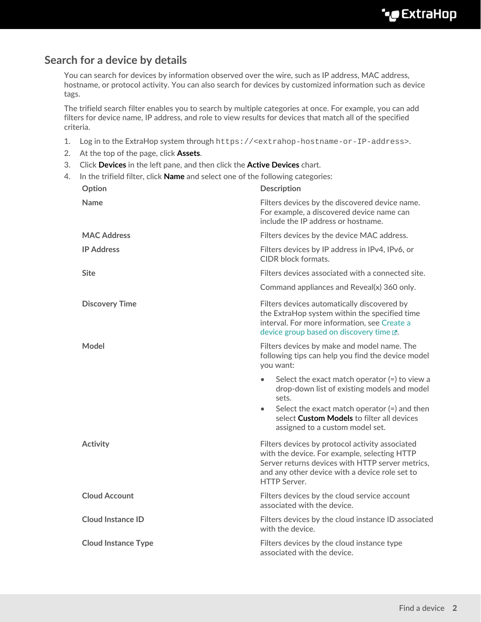## <span id="page-1-0"></span>**Search for a device by details**

You can search for devices by information observed over the wire, such as IP address, MAC address, hostname, or protocol activity. You can also search for devices by customized information such as device tags.

The trifield search filter enables you to search by multiple categories at once. For example, you can add filters for device name, IP address, and role to view results for devices that match all of the specified criteria.

- 1. Log in to the ExtraHop system through https://<extrahop-hostname-or-IP-address>.
- 2. At the top of the page, click **Assets**.
- 3. Click **Devices** in the left pane, and then click the **Active Devices** chart.

| 4. | In the trifield filter, click <b>Name</b> and select one of the following categories: |                                                                                                                                                                                                                                                         |  |  |  |  |  |
|----|---------------------------------------------------------------------------------------|---------------------------------------------------------------------------------------------------------------------------------------------------------------------------------------------------------------------------------------------------------|--|--|--|--|--|
|    | Option                                                                                | <b>Description</b>                                                                                                                                                                                                                                      |  |  |  |  |  |
|    | <b>Name</b>                                                                           | Filters devices by the discovered device name.<br>For example, a discovered device name can<br>include the IP address or hostname.                                                                                                                      |  |  |  |  |  |
|    | <b>MAC Address</b>                                                                    | Filters devices by the device MAC address.                                                                                                                                                                                                              |  |  |  |  |  |
|    | <b>IP Address</b>                                                                     | Filters devices by IP address in IPv4, IPv6, or<br><b>CIDR</b> block formats.                                                                                                                                                                           |  |  |  |  |  |
|    | <b>Site</b>                                                                           | Filters devices associated with a connected site.                                                                                                                                                                                                       |  |  |  |  |  |
|    |                                                                                       | Command appliances and Reveal(x) 360 only.                                                                                                                                                                                                              |  |  |  |  |  |
|    | <b>Discovery Time</b>                                                                 | Filters devices automatically discovered by<br>the ExtraHop system within the specified time<br>interval. For more information, see Create a<br>device group based on discovery time E.                                                                 |  |  |  |  |  |
|    | Model                                                                                 | Filters devices by make and model name. The<br>following tips can help you find the device model<br>you want:                                                                                                                                           |  |  |  |  |  |
|    |                                                                                       | Select the exact match operator $(=)$ to view a<br>drop-down list of existing models and model<br>sets.<br>Select the exact match operator $(=)$ and then<br>$\bullet$<br>select Custom Models to filter all devices<br>assigned to a custom model set. |  |  |  |  |  |
|    | <b>Activity</b>                                                                       | Filters devices by protocol activity associated<br>with the device. For example, selecting HTTP<br>Server returns devices with HTTP server metrics,<br>and any other device with a device role set to<br><b>HTTP Server.</b>                            |  |  |  |  |  |
|    | <b>Cloud Account</b>                                                                  | Filters devices by the cloud service account<br>associated with the device.                                                                                                                                                                             |  |  |  |  |  |
|    | <b>Cloud Instance ID</b>                                                              | Filters devices by the cloud instance ID associated<br>with the device.                                                                                                                                                                                 |  |  |  |  |  |
|    | <b>Cloud Instance Type</b>                                                            | Filters devices by the cloud instance type<br>associated with the device.                                                                                                                                                                               |  |  |  |  |  |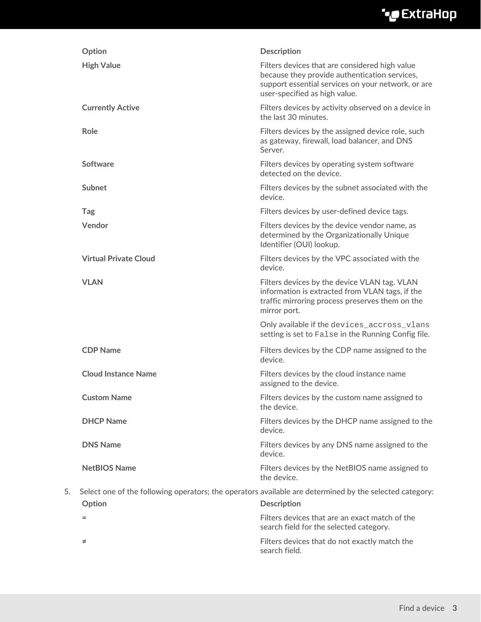# ExtraHop ہے-

|    | Option                       | <b>Description</b>                                                                                                                                                                     |
|----|------------------------------|----------------------------------------------------------------------------------------------------------------------------------------------------------------------------------------|
|    | <b>High Value</b>            | Filters devices that are considered high value<br>because they provide authentication services,<br>support essential services on your network, or are<br>user-specified as high value. |
|    | <b>Currently Active</b>      | Filters devices by activity observed on a device in<br>the last 30 minutes.                                                                                                            |
|    | Role                         | Filters devices by the assigned device role, such<br>as gateway, firewall, load balancer, and DNS<br>Server.                                                                           |
|    | Software                     | Filters devices by operating system software<br>detected on the device.                                                                                                                |
|    | Subnet                       | Filters devices by the subnet associated with the<br>device.                                                                                                                           |
|    | Tag                          | Filters devices by user-defined device tags.                                                                                                                                           |
|    | Vendor                       | Filters devices by the device vendor name, as<br>determined by the Organizationally Unique<br>Identifier (OUI) lookup.                                                                 |
|    | <b>Virtual Private Cloud</b> | Filters devices by the VPC associated with the<br>device.                                                                                                                              |
|    | <b>VLAN</b>                  | Filters devices by the device VLAN tag. VLAN<br>information is extracted from VLAN tags, if the<br>traffic mirroring process preserves them on the<br>mirror port.                     |
|    |                              | Only available if the devices_accross_vlans<br>setting is set to False in the Running Config file.                                                                                     |
|    | <b>CDP Name</b>              | Filters devices by the CDP name assigned to the<br>device.                                                                                                                             |
|    | <b>Cloud Instance Name</b>   | Filters devices by the cloud instance name<br>assigned to the device.                                                                                                                  |
|    | <b>Custom Name</b>           | Filters devices by the custom name assigned to<br>the device.                                                                                                                          |
|    | <b>DHCP Name</b>             | Filters devices by the DHCP name assigned to the<br>device.                                                                                                                            |
|    | <b>DNS Name</b>              | Filters devices by any DNS name assigned to the<br>device.                                                                                                                             |
|    | <b>NetBIOS Name</b>          | Filters devices by the NetBIOS name assigned to<br>the device.                                                                                                                         |
| 5. | Option                       | Select one of the following operators; the operators available are determined by the selected category:<br><b>Description</b>                                                          |
|    | =                            | Filters devices that are an exact match of the                                                                                                                                         |
|    |                              | search field for the selected category.                                                                                                                                                |
|    | ≠                            | Filters devices that do not exactly match the<br>search field.                                                                                                                         |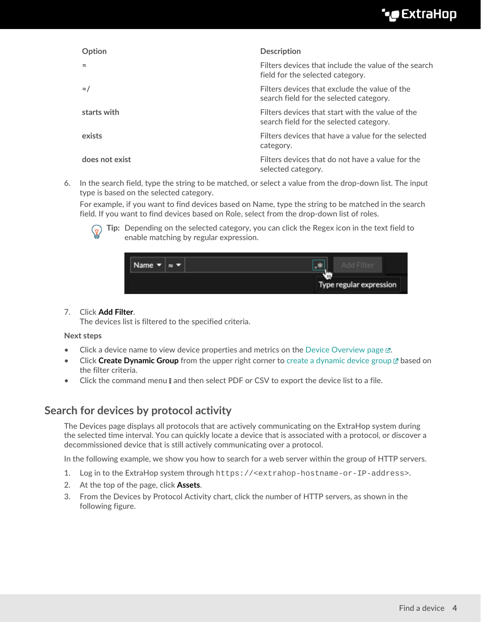# •e ExtraHop

| Option         | <b>Description</b>                                                                          |
|----------------|---------------------------------------------------------------------------------------------|
|                | Filters devices that include the value of the search<br>field for the selected category.    |
| $\approx$ /    | Filters devices that exclude the value of the<br>search field for the selected category.    |
| starts with    | Filters devices that start with the value of the<br>search field for the selected category. |
| exists         | Filters devices that have a value for the selected<br>category.                             |
| does not exist | Filters devices that do not have a value for the<br>selected category.                      |

6. In the search field, type the string to be matched, or select a value from the drop-down list. The input type is based on the selected category.

For example, if you want to find devices based on Name, type the string to be matched in the search field. If you want to find devices based on Role, select from the drop-down list of roles.



**Tip:** Depending on the selected category, you can click the Regex icon in the text field to enable matching by regular expression.

| <b>Name</b> |  |                   |                         |  |
|-------------|--|-------------------|-------------------------|--|
|             |  | <b>ITTIL</b><br>Щ | Type regular expression |  |

#### 7. Click **Add Filter**.

The devices list is filtered to the specified criteria.

#### **Next steps**

- Click a device name to view device properties and metrics on the [Device Overview page](https://docs.extrahop.com/8.7/devices-overview/#device-overview-page)  $\mathbb{E}$ .
- **Click Create Dynamic Group** from the upper right corner to [create a dynamic device group](https://docs.extrahop.com/8.7/create-device-group/#create-a-dynamic-device-group) **F** based on the filter criteria.
- Click the command menu **E** and then select PDF or CSV to export the device list to a file.

### <span id="page-3-0"></span>**Search for devices by protocol activity**

The Devices page displays all protocols that are actively communicating on the ExtraHop system during the selected time interval. You can quickly locate a device that is associated with a protocol, or discover a decommissioned device that is still actively communicating over a protocol.

In the following example, we show you how to search for a web server within the group of HTTP servers.

- 1. Log in to the ExtraHop system through https://<extrahop-hostname-or-IP-address>.
- 2. At the top of the page, click **Assets**.
- 3. From the Devices by Protocol Activity chart, click the number of HTTP servers, as shown in the following figure.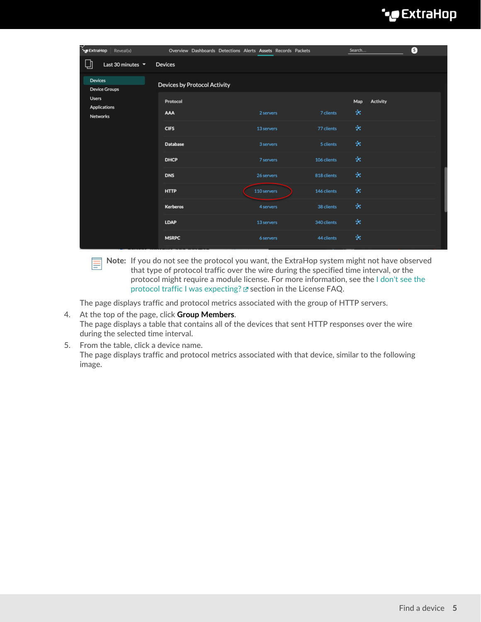# ExtraHop **@**

| ExtraHop Reveal(x)                        | Overview Dashboards Detections Alerts Assets Records Packets |             |             | Search                      | 0 |
|-------------------------------------------|--------------------------------------------------------------|-------------|-------------|-----------------------------|---|
| 山<br>Last 30 minutes $\blacktriangledown$ | Devices                                                      |             |             |                             |   |
| Devices<br><b>Device Groups</b>           | <b>Devices by Protocol Activity</b>                          |             |             |                             |   |
| <b>Users</b><br>Applications<br>Networks  | Protocol<br>AAA                                              | 2 servers   | 7 clients   | <b>Activity</b><br>Map<br>× |   |
|                                           | <b>CIFS</b>                                                  | 13 servers  | 77 clients  | ÷                           |   |
|                                           | <b>Database</b>                                              | 3 servers   | 5 clients   | ×                           |   |
|                                           | <b>DHCP</b>                                                  | 7 servers   | 106 clients | ×                           |   |
|                                           | <b>DNS</b>                                                   | 26 servers  | 818 clients | ×                           |   |
|                                           | <b>HTTP</b>                                                  | 110 servers | 146 clients | ×                           |   |
|                                           | <b>Kerberos</b>                                              | 4 servers   | 38 clients  | ×                           |   |
|                                           | <b>LDAP</b>                                                  | 13 servers  | 340 clients | ×                           |   |
|                                           | <b>MSRPC</b>                                                 | 6 servers   | 44 clients  | ÷                           |   |

**Note:** If you do not see the protocol you want, the ExtraHop system might not have observed Ē that type of protocol traffic over the wire during the specified time interval, or the protocol might require a module license. For more information, see the [I don't see the](https://docs.extrahop.com/8.7/license-faq) [protocol traffic I was expecting?](https://docs.extrahop.com/8.7/license-faq)  $\square$  section in the License FAQ.

The page displays traffic and protocol metrics associated with the group of HTTP servers.

- 4. At the top of the page, click **Group Members**. The page displays a table that contains all of the devices that sent HTTP responses over the wire during the selected time interval.
- 5. From the table, click a device name. The page displays traffic and protocol metrics associated with that device, similar to the following image.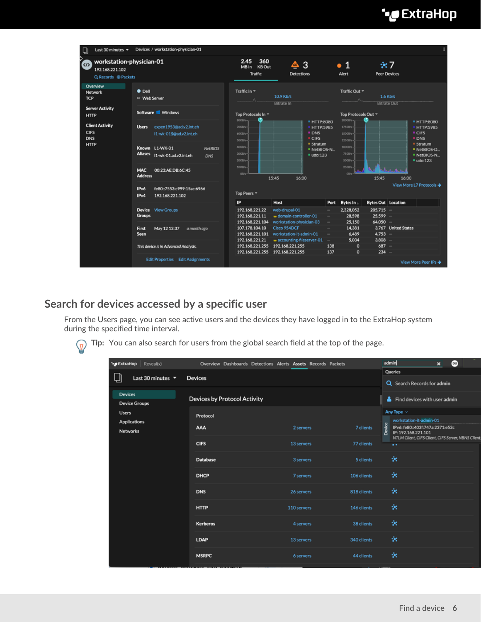# ExtraHop **@-**\*

| U                                 | Last 30 minutes $\star$                                            |                                            | Devices / workstation-physician-01                |                                 |                                                     |                 |                                                               |                                                 |                                    |                                                |                           |                                                           |                                                                |
|-----------------------------------|--------------------------------------------------------------------|--------------------------------------------|---------------------------------------------------|---------------------------------|-----------------------------------------------------|-----------------|---------------------------------------------------------------|-------------------------------------------------|------------------------------------|------------------------------------------------|---------------------------|-----------------------------------------------------------|----------------------------------------------------------------|
| <b>CD</b>                         | workstation-physician-01<br>192.168.221.102<br>Q Records @ Packets |                                            | 2.45<br><b>MB</b> In                              | 360<br>KB Out<br><b>Traffic</b> | ₾<br><b>Detections</b>                              | 3               |                                                               | $\bullet$ 1<br>Alert                            | <b>Peer Devices</b>                | $\div$ 7                                       |                           |                                                           |                                                                |
| Overview<br>Network<br><b>TCP</b> |                                                                    | $\bullet$ Dell<br><sup>69</sup> Web Server |                                                   |                                 | Traffic In T<br>10.9 Kb/s<br>Λ<br><b>Bitrate In</b> |                 |                                                               | Traffic Out =<br>1.6 Kb/s<br><b>Bitrate Out</b> |                                    |                                                |                           |                                                           |                                                                |
| <b>HTTP</b>                       | <b>Server Activity</b>                                             | Software <b>II</b> Windows                 |                                                   |                                 | Top Protocols In ~                                  |                 |                                                               |                                                 | Top Protocols Out =                |                                                |                           |                                                           |                                                                |
| <b>CIFS</b><br><b>DNS</b>         | <b>Client Activity</b>                                             | <b>Users</b>                               | expen1953@ad.v2.int.eh<br>I1-wk-01\$@ad.v2.int.eh |                                 | 80KB/s-<br>$70KBA -$<br>$60KB/s -$<br>SOKB/s-       |                 | <b>■ HTTP:8080</b><br><b>HTTP:5985</b><br><b>= DNS</b><br>CFS |                                                 |                                    | 2000B/s-<br>17508/s-<br>1500B/s-<br>$1250Bh -$ |                           |                                                           | <b>■ HTTP:8080</b><br>HTTP:5985<br><b>CIFS</b><br><b>= DNS</b> |
| <b>HTTP</b>                       |                                                                    | <b>Aliases</b>                             | Known L1-WK-01<br>I1-wk-01.ad.v2.int.eh           | NetBIOS<br><b>DNS</b>           | 40KB/s-<br><b>30KB/s-</b><br>$20KB/s -$             |                 |                                                               | $S$ tratum<br>NetBIOS-N<br>$-$ udp:123          |                                    | 10008/s-<br>750B/s-<br>$500B/s -$              |                           | <b>Stratum</b><br>NetBIOS-D.<br>" NetBIOS-N<br>$u$ do:123 |                                                                |
|                                   |                                                                    | <b>MAC</b><br><b>Address</b>               | 00:23:AE:DB:6C:45                                 |                                 | $10KBA -$<br>$0B/s -$                               |                 | 15:45<br>16:00                                                |                                                 |                                    | 2508/s<br>0B/s                                 | 15:45                     | an Ann<br>16:00                                           |                                                                |
|                                   |                                                                    | IPv6<br>IPv4                               | fe80::7553:c999:15ac:6966<br>192.168.221.102      |                                 | Top Peers =                                         |                 |                                                               |                                                 |                                    |                                                |                           |                                                           | View More L7 Protocols →                                       |
|                                   |                                                                    |                                            |                                                   |                                 | <b>IP</b>                                           |                 | Host                                                          |                                                 | Port                               | Bytes In +                                     | <b>Bytes Out Location</b> |                                                           |                                                                |
|                                   |                                                                    |                                            | Device View Groups                                |                                 | 192.168.221.22                                      |                 | web-drupal-01                                                 |                                                 | $\overline{\phantom{a}}$           | 2.328,052                                      | $205.715 -$               |                                                           |                                                                |
|                                   |                                                                    | <b>Groups</b>                              |                                                   |                                 | 192.168.221.11<br>192.168.221.104                   |                 | w domain-controller-01                                        |                                                 | $\sim$                             | 28,598                                         | $25,599 -$<br>$64,050 -$  |                                                           |                                                                |
|                                   |                                                                    | <b>First</b>                               | May 12 12:37<br>a month ago                       |                                 | 107.178.104.10                                      |                 | workstation-physician-03<br>Cisco 954DCF                      |                                                 | $\overline{\phantom{a}}$<br>$\sim$ | 25,150<br>14,381                               |                           | 3.767 United States                                       |                                                                |
|                                   |                                                                    | Seen                                       |                                                   |                                 | 192.168.221.101                                     |                 | workstation-it-admin-01                                       |                                                 | -                                  | 6,489                                          | $4,753 -$                 |                                                           |                                                                |
|                                   |                                                                    |                                            |                                                   |                                 | 192.168.221.21                                      |                 | $\omega$ accounting-fileserver-01 $-$                         |                                                 |                                    | 5.034                                          | $3,808 -$                 |                                                           |                                                                |
|                                   |                                                                    |                                            | This device is in Advanced Analysis.              |                                 |                                                     | 192.168.221.255 | 192.168.221.255                                               |                                                 | 138                                | $\mathbf{0}$                                   | $687 -$                   |                                                           |                                                                |
|                                   |                                                                    |                                            |                                                   |                                 |                                                     |                 | 192.168.221.255 192.168.221.255                               |                                                 | 137                                | $\mathbf{0}$                                   | $234 -$                   |                                                           |                                                                |
|                                   |                                                                    |                                            | <b>Edit Properties Edit Assignments</b>           |                                 |                                                     |                 |                                                               |                                                 |                                    |                                                |                           |                                                           | View More Peer IPs →                                           |

## <span id="page-5-0"></span>**Search for devices accessed by a specific user**

From the Users page, you can see active users and the devices they have logged in to the ExtraHop system during the specified time interval.

**Tip:** You can also search for users from the global search field at the top of the page.

| ** ExtraHop<br>Reveal(x)                  |                                     | Overview Dashboards Detections Alerts Assets Records Packets |             | admin<br>$\omega$<br>$\boldsymbol{\mathsf{x}}$                   |
|-------------------------------------------|-------------------------------------|--------------------------------------------------------------|-------------|------------------------------------------------------------------|
|                                           |                                     |                                                              |             | Queries                                                          |
| ௶<br>Last 30 minutes $\blacktriangledown$ | <b>Devices</b>                      |                                                              |             | Q Search Records for admin                                       |
| <b>Devices</b><br><b>Device Groups</b>    | <b>Devices by Protocol Activity</b> |                                                              |             | Find devices with user admin                                     |
| <b>Users</b>                              | Protocol                            |                                                              |             | Any Type $\sim$                                                  |
| Applications                              |                                     |                                                              |             | workstation-it-admin-01                                          |
| Networks                                  | AAA                                 | 2 servers                                                    | 7 clients   | Device<br>IPv6: fe80::403f:747a:2371:e52c<br>IP: 192.168.221.101 |
|                                           | <b>CIFS</b>                         | 13 servers                                                   | 77 clients  | NTLM Client, CIFS Client, CIFS Server, NBNS Clien<br>$\bullet$   |
|                                           |                                     |                                                              |             |                                                                  |
|                                           | <b>Database</b>                     | 3 servers                                                    | 5 clients   | ×                                                                |
|                                           | <b>DHCP</b>                         | 7 servers                                                    | 106 clients | ×                                                                |
|                                           | <b>DNS</b>                          | 26 servers                                                   | 818 clients | ×                                                                |
|                                           | <b>HTTP</b>                         | 110 servers                                                  | 146 clients | ×                                                                |
|                                           | Kerberos                            | 4 servers                                                    | 38 clients  | ×                                                                |
|                                           | <b>LDAP</b>                         | 13 servers                                                   | 340 clients | ×                                                                |
|                                           | <b>MSRPC</b>                        | 6 servers                                                    | 44 clients  | ×                                                                |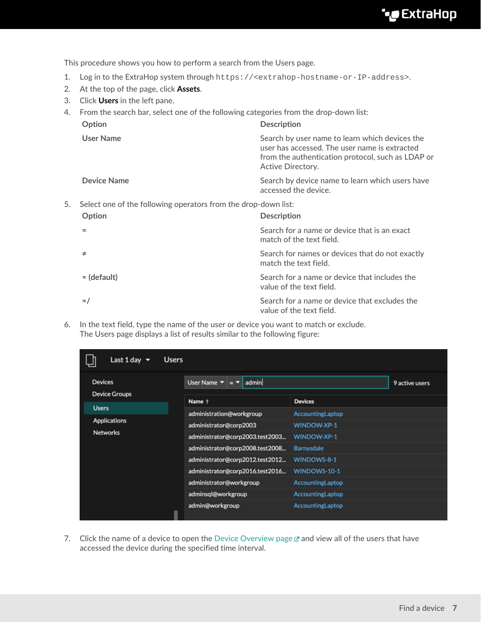This procedure shows you how to perform a search from the Users page.

- 1. Log in to the ExtraHop system through https://<extrahop-hostname-or-IP-address>.
- 2. At the top of the page, click **Assets**.
- 3. Click **Users** in the left pane.
- 4. From the search bar, select one of the following categories from the drop-down list:

|    | Option                                                         | <b>Description</b>                                                                                                                                                        |
|----|----------------------------------------------------------------|---------------------------------------------------------------------------------------------------------------------------------------------------------------------------|
|    | <b>User Name</b>                                               | Search by user name to learn which devices the<br>user has accessed. The user name is extracted<br>from the authentication protocol, such as LDAP or<br>Active Directory. |
|    | <b>Device Name</b>                                             | Search by device name to learn which users have<br>accessed the device.                                                                                                   |
| 5. | Select one of the following operators from the drop-down list: |                                                                                                                                                                           |
|    | Option                                                         | <b>Description</b>                                                                                                                                                        |
|    |                                                                | Search for a name or device that is an exact<br>match of the text field.                                                                                                  |
|    | ≠                                                              | Search for names or devices that do not exactly<br>match the text field.                                                                                                  |
|    | $\approx$ (default)                                            | Search for a name or device that includes the<br>value of the text field.                                                                                                 |
|    | $\approx$ /                                                    | Search for a name or device that excludes the<br>value of the text field.                                                                                                 |

6. In the text field, type the name of the user or device you want to match or exclude. The Users page displays a list of results similar to the following figure:

| Last 1 day $\blacktriangledown$        | <b>Users</b> |                                                                 |                   |  |
|----------------------------------------|--------------|-----------------------------------------------------------------|-------------------|--|
| <b>Devices</b><br><b>Device Groups</b> |              | admin<br>User Name $\blacktriangledown$<br>$\approx$ $\sqrt{ }$ | 9 active users    |  |
|                                        |              | Name <sup>+</sup>                                               | <b>Devices</b>    |  |
| <b>Users</b>                           |              | administration@workgroup                                        | AccountingLaptop  |  |
| <b>Applications</b>                    |              | administrator@corp2003                                          | WINDOW-XP-1       |  |
| <b>Networks</b>                        |              | administrator@corp2003.test2003                                 | WINDOW-XP-1       |  |
|                                        |              | administrator@corp2008.test2008                                 | <b>Barnysdale</b> |  |
|                                        |              | administrator@corp2012.test2012                                 | WINDOWS-8-1       |  |
|                                        |              | administrator@corp2016.test2016                                 | WINDOWS-10-1      |  |
|                                        |              | administrator@workgroup                                         | AccountingLaptop  |  |
|                                        |              | adminsql@workgroup                                              | AccountingLaptop  |  |
|                                        | ⋒            | admin@workgroup                                                 | AccountingLaptop  |  |

7. Click the name of a device to open the [Device Overview page](https://docs.extrahop.com/8.7/devices-overview/#device-overview-page)  $\mathbb Z$  and view all of the users that have accessed the device during the specified time interval.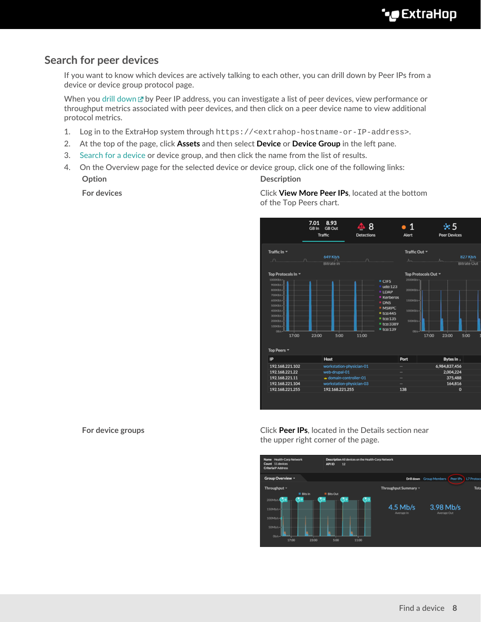## <span id="page-7-0"></span>**Search for peer devices**

If you want to know which devices are actively talking to each other, you can drill down by Peer IPs from a device or device group protocol page.

When you [drill down](https://docs.extrahop.com/8.7/drill-down) **by Peer IP address, you can investigate a list of peer devices, view performance or** throughput metrics associated with peer devices, and then click on a peer device name to view additional protocol metrics.

- 1. Log in to the ExtraHop system through https://<extrahop-hostname-or-IP-address>.
- 2. At the top of the page, click **Assets** and then select **Device** or **Device Group** in the left pane.
- 3. [Search for a device](#page-1-0) or device group, and then click the name from the list of results.
- 4. On the Overview page for the selected device or device group, click one of the following links: **Option Description**

**For devices** Click **View More Peer IPs**, located at the bottom of the Top Peers chart.



**For device groups For device groups Click Peer IPs**, located in the Details section near the upper right corner of the page.